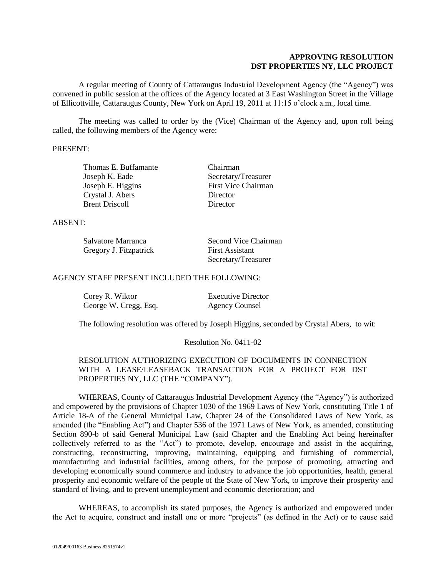## **APPROVING RESOLUTION DST PROPERTIES NY, LLC PROJECT**

A regular meeting of County of Cattaraugus Industrial Development Agency (the "Agency") was convened in public session at the offices of the Agency located at 3 East Washington Street in the Village of Ellicottville, Cattaraugus County, New York on April 19, 2011 at 11:15 o'clock a.m., local time.

The meeting was called to order by the (Vice) Chairman of the Agency and, upon roll being called, the following members of the Agency were:

## PRESENT:

| Thomas E. Buffamante  |  |
|-----------------------|--|
| Joseph K. Eade        |  |
| Joseph E. Higgins     |  |
| Crystal J. Abers      |  |
| <b>Brent Driscoll</b> |  |

Chairman Secretary/Treasurer First Vice Chairman Director Director

### ABSENT:

| Salvatore Marranca     | Second Vice Chairman   |
|------------------------|------------------------|
| Gregory J. Fitzpatrick | <b>First Assistant</b> |
|                        | Secretary/Treasurer    |

### AGENCY STAFF PRESENT INCLUDED THE FOLLOWING:

| Corey R. Wiktor       | <b>Executive Director</b> |
|-----------------------|---------------------------|
| George W. Cregg, Esq. | <b>Agency Counsel</b>     |

The following resolution was offered by Joseph Higgins, seconded by Crystal Abers, to wit:

#### Resolution No. 0411-02

# RESOLUTION AUTHORIZING EXECUTION OF DOCUMENTS IN CONNECTION WITH A LEASE/LEASEBACK TRANSACTION FOR A PROJECT FOR DST PROPERTIES NY, LLC (THE "COMPANY").

WHEREAS, County of Cattaraugus Industrial Development Agency (the "Agency") is authorized and empowered by the provisions of Chapter 1030 of the 1969 Laws of New York, constituting Title 1 of Article 18-A of the General Municipal Law, Chapter 24 of the Consolidated Laws of New York, as amended (the "Enabling Act") and Chapter 536 of the 1971 Laws of New York, as amended, constituting Section 890-b of said General Municipal Law (said Chapter and the Enabling Act being hereinafter collectively referred to as the "Act") to promote, develop, encourage and assist in the acquiring, constructing, reconstructing, improving, maintaining, equipping and furnishing of commercial, manufacturing and industrial facilities, among others, for the purpose of promoting, attracting and developing economically sound commerce and industry to advance the job opportunities, health, general prosperity and economic welfare of the people of the State of New York, to improve their prosperity and standard of living, and to prevent unemployment and economic deterioration; and

WHEREAS, to accomplish its stated purposes, the Agency is authorized and empowered under the Act to acquire, construct and install one or more "projects" (as defined in the Act) or to cause said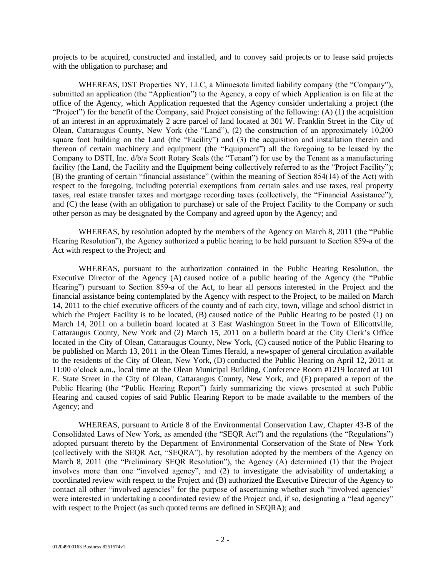projects to be acquired, constructed and installed, and to convey said projects or to lease said projects with the obligation to purchase; and

WHEREAS, DST Properties NY, LLC, a Minnesota limited liability company (the "Company"), submitted an application (the "Application") to the Agency, a copy of which Application is on file at the office of the Agency, which Application requested that the Agency consider undertaking a project (the "Project") for the benefit of the Company, said Project consisting of the following: (A) (1) the acquisition of an interest in an approximately 2 acre parcel of land located at 301 W. Franklin Street in the City of Olean, Cattaraugus County, New York (the "Land"), (2) the construction of an approximately 10,200 square foot building on the Land (the "Facility") and (3) the acquisition and installation therein and thereon of certain machinery and equipment (the "Equipment") all the foregoing to be leased by the Company to DSTI, Inc. d/b/a Scott Rotary Seals (the "Tenant") for use by the Tenant as a manufacturing facility (the Land, the Facility and the Equipment being collectively referred to as the "Project Facility"); (B) the granting of certain "financial assistance" (within the meaning of Section 854(14) of the Act) with respect to the foregoing, including potential exemptions from certain sales and use taxes, real property taxes, real estate transfer taxes and mortgage recording taxes (collectively, the "Financial Assistance"); and (C) the lease (with an obligation to purchase) or sale of the Project Facility to the Company or such other person as may be designated by the Company and agreed upon by the Agency; and

WHEREAS, by resolution adopted by the members of the Agency on March 8, 2011 (the "Public Hearing Resolution"), the Agency authorized a public hearing to be held pursuant to Section 859-a of the Act with respect to the Project; and

WHEREAS, pursuant to the authorization contained in the Public Hearing Resolution, the Executive Director of the Agency (A) caused notice of a public hearing of the Agency (the "Public Hearing") pursuant to Section 859-a of the Act, to hear all persons interested in the Project and the financial assistance being contemplated by the Agency with respect to the Project, to be mailed on March 14, 2011 to the chief executive officers of the county and of each city, town, village and school district in which the Project Facility is to be located, (B) caused notice of the Public Hearing to be posted (1) on March 14, 2011 on a bulletin board located at 3 East Washington Street in the Town of Ellicottville, Cattaraugus County, New York and (2) March 15, 2011 on a bulletin board at the City Clerk's Office located in the City of Olean, Cattaraugus County, New York, (C) caused notice of the Public Hearing to be published on March 13, 2011 in the Olean Times Herald, a newspaper of general circulation available to the residents of the City of Olean, New York, (D) conducted the Public Hearing on April 12, 2011 at 11:00 o'clock a.m., local time at the Olean Municipal Building, Conference Room #1219 located at 101 E. State Street in the City of Olean, Cattaraugus County, New York, and (E) prepared a report of the Public Hearing (the "Public Hearing Report") fairly summarizing the views presented at such Public Hearing and caused copies of said Public Hearing Report to be made available to the members of the Agency; and

WHEREAS, pursuant to Article 8 of the Environmental Conservation Law, Chapter 43-B of the Consolidated Laws of New York, as amended (the "SEQR Act") and the regulations (the "Regulations") adopted pursuant thereto by the Department of Environmental Conservation of the State of New York (collectively with the SEQR Act, "SEQRA"), by resolution adopted by the members of the Agency on March 8, 2011 (the "Preliminary SEQR Resolution"), the Agency (A) determined (1) that the Project involves more than one "involved agency", and (2) to investigate the advisability of undertaking a coordinated review with respect to the Project and (B) authorized the Executive Director of the Agency to contact all other "involved agencies" for the purpose of ascertaining whether such "involved agencies" were interested in undertaking a coordinated review of the Project and, if so, designating a "lead agency" with respect to the Project (as such quoted terms are defined in SEQRA); and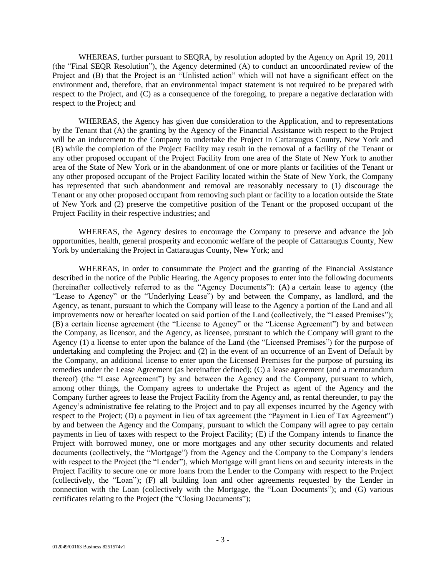WHEREAS, further pursuant to SEQRA, by resolution adopted by the Agency on April 19, 2011 (the "Final SEQR Resolution"), the Agency determined (A) to conduct an uncoordinated review of the Project and (B) that the Project is an "Unlisted action" which will not have a significant effect on the environment and, therefore, that an environmental impact statement is not required to be prepared with respect to the Project, and (C) as a consequence of the foregoing, to prepare a negative declaration with respect to the Project; and

WHEREAS, the Agency has given due consideration to the Application, and to representations by the Tenant that (A) the granting by the Agency of the Financial Assistance with respect to the Project will be an inducement to the Company to undertake the Project in Cattaraugus County, New York and (B) while the completion of the Project Facility may result in the removal of a facility of the Tenant or any other proposed occupant of the Project Facility from one area of the State of New York to another area of the State of New York or in the abandonment of one or more plants or facilities of the Tenant or any other proposed occupant of the Project Facility located within the State of New York, the Company has represented that such abandonment and removal are reasonably necessary to (1) discourage the Tenant or any other proposed occupant from removing such plant or facility to a location outside the State of New York and (2) preserve the competitive position of the Tenant or the proposed occupant of the Project Facility in their respective industries; and

WHEREAS, the Agency desires to encourage the Company to preserve and advance the job opportunities, health, general prosperity and economic welfare of the people of Cattaraugus County, New York by undertaking the Project in Cattaraugus County, New York; and

WHEREAS, in order to consummate the Project and the granting of the Financial Assistance described in the notice of the Public Hearing, the Agency proposes to enter into the following documents (hereinafter collectively referred to as the "Agency Documents"): (A) a certain lease to agency (the "Lease to Agency" or the "Underlying Lease") by and between the Company, as landlord, and the Agency, as tenant, pursuant to which the Company will lease to the Agency a portion of the Land and all improvements now or hereafter located on said portion of the Land (collectively, the "Leased Premises"); (B) a certain license agreement (the "License to Agency" or the "License Agreement") by and between the Company, as licensor, and the Agency, as licensee, pursuant to which the Company will grant to the Agency (1) a license to enter upon the balance of the Land (the "Licensed Premises") for the purpose of undertaking and completing the Project and (2) in the event of an occurrence of an Event of Default by the Company, an additional license to enter upon the Licensed Premises for the purpose of pursuing its remedies under the Lease Agreement (as hereinafter defined); (C) a lease agreement (and a memorandum thereof) (the "Lease Agreement") by and between the Agency and the Company, pursuant to which, among other things, the Company agrees to undertake the Project as agent of the Agency and the Company further agrees to lease the Project Facility from the Agency and, as rental thereunder, to pay the Agency's administrative fee relating to the Project and to pay all expenses incurred by the Agency with respect to the Project; (D) a payment in lieu of tax agreement (the "Payment in Lieu of Tax Agreement") by and between the Agency and the Company, pursuant to which the Company will agree to pay certain payments in lieu of taxes with respect to the Project Facility; (E) if the Company intends to finance the Project with borrowed money, one or more mortgages and any other security documents and related documents (collectively, the "Mortgage") from the Agency and the Company to the Company's lenders with respect to the Project (the "Lender"), which Mortgage will grant liens on and security interests in the Project Facility to secure one or more loans from the Lender to the Company with respect to the Project (collectively, the "Loan"); (F) all building loan and other agreements requested by the Lender in connection with the Loan (collectively with the Mortgage, the "Loan Documents"); and (G) various certificates relating to the Project (the "Closing Documents");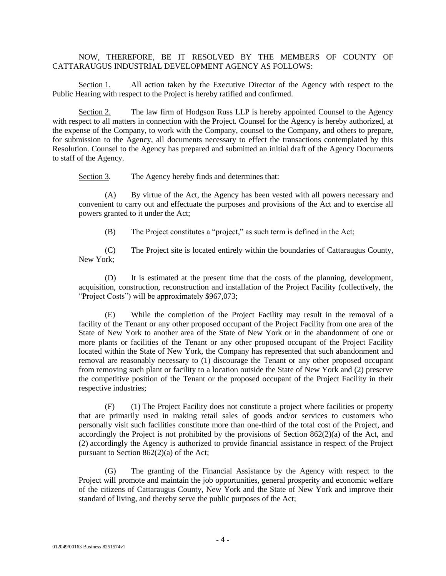## NOW, THEREFORE, BE IT RESOLVED BY THE MEMBERS OF COUNTY OF CATTARAUGUS INDUSTRIAL DEVELOPMENT AGENCY AS FOLLOWS:

Section 1. All action taken by the Executive Director of the Agency with respect to the Public Hearing with respect to the Project is hereby ratified and confirmed.

Section 2. The law firm of Hodgson Russ LLP is hereby appointed Counsel to the Agency with respect to all matters in connection with the Project. Counsel for the Agency is hereby authorized, at the expense of the Company, to work with the Company, counsel to the Company, and others to prepare, for submission to the Agency, all documents necessary to effect the transactions contemplated by this Resolution. Counsel to the Agency has prepared and submitted an initial draft of the Agency Documents to staff of the Agency.

Section 3. The Agency hereby finds and determines that:

(A) By virtue of the Act, the Agency has been vested with all powers necessary and convenient to carry out and effectuate the purposes and provisions of the Act and to exercise all powers granted to it under the Act;

(B) The Project constitutes a "project," as such term is defined in the Act;

(C) The Project site is located entirely within the boundaries of Cattaraugus County, New York;

(D) It is estimated at the present time that the costs of the planning, development, acquisition, construction, reconstruction and installation of the Project Facility (collectively, the "Project Costs") will be approximately \$967,073;

(E) While the completion of the Project Facility may result in the removal of a facility of the Tenant or any other proposed occupant of the Project Facility from one area of the State of New York to another area of the State of New York or in the abandonment of one or more plants or facilities of the Tenant or any other proposed occupant of the Project Facility located within the State of New York, the Company has represented that such abandonment and removal are reasonably necessary to (1) discourage the Tenant or any other proposed occupant from removing such plant or facility to a location outside the State of New York and (2) preserve the competitive position of the Tenant or the proposed occupant of the Project Facility in their respective industries;

(F) (1) The Project Facility does not constitute a project where facilities or property that are primarily used in making retail sales of goods and/or services to customers who personally visit such facilities constitute more than one-third of the total cost of the Project, and accordingly the Project is not prohibited by the provisions of Section 862(2)(a) of the Act, and (2) accordingly the Agency is authorized to provide financial assistance in respect of the Project pursuant to Section 862(2)(a) of the Act;

(G) The granting of the Financial Assistance by the Agency with respect to the Project will promote and maintain the job opportunities, general prosperity and economic welfare of the citizens of Cattaraugus County, New York and the State of New York and improve their standard of living, and thereby serve the public purposes of the Act;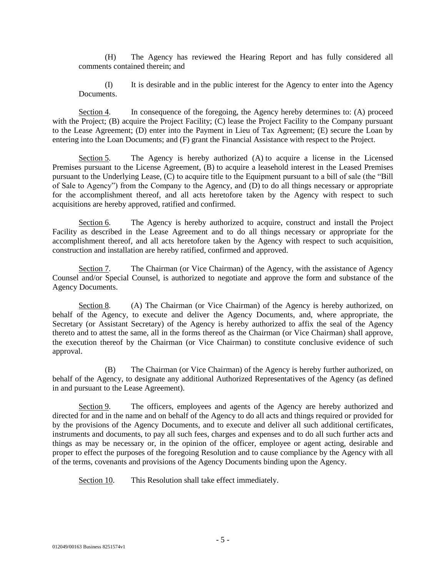(H) The Agency has reviewed the Hearing Report and has fully considered all comments contained therein; and

(I) It is desirable and in the public interest for the Agency to enter into the Agency Documents.

Section 4. In consequence of the foregoing, the Agency hereby determines to: (A) proceed with the Project; (B) acquire the Project Facility; (C) lease the Project Facility to the Company pursuant to the Lease Agreement; (D) enter into the Payment in Lieu of Tax Agreement; (E) secure the Loan by entering into the Loan Documents; and (F) grant the Financial Assistance with respect to the Project.

Section 5. The Agency is hereby authorized (A) to acquire a license in the Licensed Premises pursuant to the License Agreement, (B) to acquire a leasehold interest in the Leased Premises pursuant to the Underlying Lease, (C) to acquire title to the Equipment pursuant to a bill of sale (the "Bill of Sale to Agency") from the Company to the Agency, and (D) to do all things necessary or appropriate for the accomplishment thereof, and all acts heretofore taken by the Agency with respect to such acquisitions are hereby approved, ratified and confirmed.

Section 6. The Agency is hereby authorized to acquire, construct and install the Project Facility as described in the Lease Agreement and to do all things necessary or appropriate for the accomplishment thereof, and all acts heretofore taken by the Agency with respect to such acquisition, construction and installation are hereby ratified, confirmed and approved.

Section 7. The Chairman (or Vice Chairman) of the Agency, with the assistance of Agency Counsel and/or Special Counsel, is authorized to negotiate and approve the form and substance of the Agency Documents.

Section 8. (A) The Chairman (or Vice Chairman) of the Agency is hereby authorized, on behalf of the Agency, to execute and deliver the Agency Documents, and, where appropriate, the Secretary (or Assistant Secretary) of the Agency is hereby authorized to affix the seal of the Agency thereto and to attest the same, all in the forms thereof as the Chairman (or Vice Chairman) shall approve, the execution thereof by the Chairman (or Vice Chairman) to constitute conclusive evidence of such approval.

(B) The Chairman (or Vice Chairman) of the Agency is hereby further authorized, on behalf of the Agency, to designate any additional Authorized Representatives of the Agency (as defined in and pursuant to the Lease Agreement).

Section 9. The officers, employees and agents of the Agency are hereby authorized and directed for and in the name and on behalf of the Agency to do all acts and things required or provided for by the provisions of the Agency Documents, and to execute and deliver all such additional certificates, instruments and documents, to pay all such fees, charges and expenses and to do all such further acts and things as may be necessary or, in the opinion of the officer, employee or agent acting, desirable and proper to effect the purposes of the foregoing Resolution and to cause compliance by the Agency with all of the terms, covenants and provisions of the Agency Documents binding upon the Agency.

Section 10. This Resolution shall take effect immediately.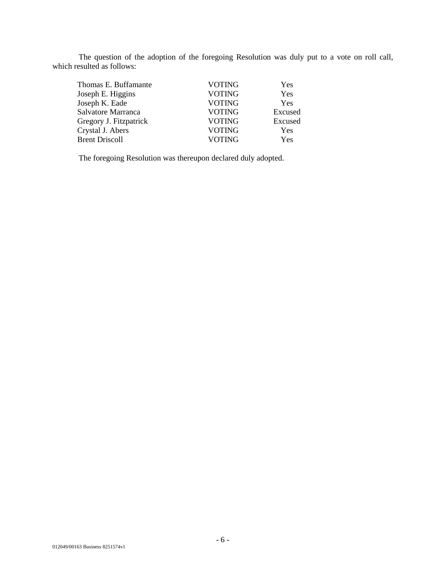The question of the adoption of the foregoing Resolution was duly put to a vote on roll call, which resulted as follows:

| Thomas E. Buffamante   | <b>VOTING</b> | Yes     |
|------------------------|---------------|---------|
| Joseph E. Higgins      | <b>VOTING</b> | Yes     |
| Joseph K. Eade         | <b>VOTING</b> | Yes     |
| Salvatore Marranca     | <b>VOTING</b> | Excused |
| Gregory J. Fitzpatrick | <b>VOTING</b> | Excused |
| Crystal J. Abers       | <b>VOTING</b> | Yes     |
| <b>Brent Driscoll</b>  | <b>VOTING</b> | Yes     |
|                        |               |         |

The foregoing Resolution was thereupon declared duly adopted.